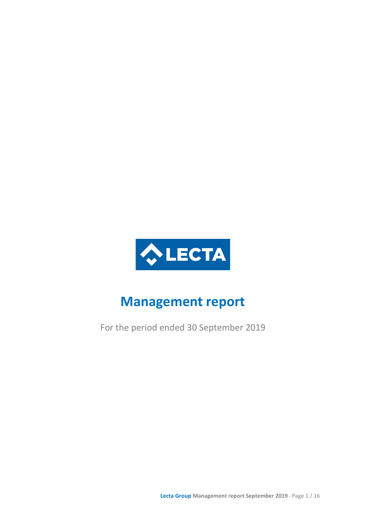

# **Management report**

For the period ended 30 September 2019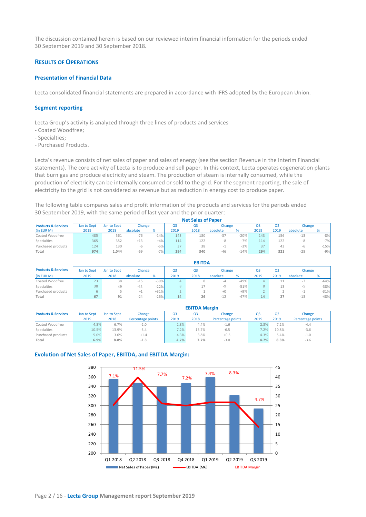The discussion contained herein is based on our reviewed interim financial information for the periods ended 30 September 2019 and 30 September 2018.

# **RESULTS OF OPERATIONS**

## **Presentation of Financial Data**

Lecta consolidated financial statements are prepared in accordance with IFRS adopted by the European Union.

## **Segment reporting**

Lecta Group's activity is analyzed through three lines of products and services

- Coated Woodfree;
- Specialties;
- Purchased Products.

Lecta's revenue consists of net sales of paper and sales of energy (see the section Revenue in the Interim Financial statements). The core activity of Lecta is to produce and sell paper. In this context, Lecta operates cogeneration plants that burn gas and produce electricity and steam. The production of steam is internally consumed, while the production of electricity can be internally consumed or sold to the grid. For the segment reporting, the sale of electricity to the grid is not considered as revenue but as reduction in energy cost to produce paper.

The following table compares sales and profit information of the products and services for the periods ended 30 September 2019, with the same period of last year and the prior quarter:

|                                | <b>Net Sales of Paper</b> |             |          |        |      |                |          |        |      |      |          |        |
|--------------------------------|---------------------------|-------------|----------|--------|------|----------------|----------|--------|------|------|----------|--------|
| <b>Products &amp; Services</b> | Jan to Sept               | Jan to Sept | Change   |        | Q3   | Q <sub>3</sub> | Change   |        | Q3   | Q2   | Change   |        |
| (in EUR M)                     | 2019                      | 2018        | absolute | %      | 2019 | 2018           | absolute |        | 2019 | 2019 | absolute | %      |
| Coated Woodfree                | 485                       | 561         | $-76$    | $-14%$ | 143  | 180            | $-37$    | $-20%$ | 143  | 156  | $-13$    | $-8%$  |
| Specialties                    | 365                       | 352         | $+13$    | $+4%$  | 114  | 122            | -8       | $-7%$  | 114  | 122  | -8       | $-7%$  |
| Purchased products             | 124                       | 130         | -b.      | $-5%$  | 37   | 38             |          | $-3%$  | 37   | 43   | -6       | $-15%$ |
| Total                          | 974                       | 1.044       | $-69$    | $-7%$  | 294  | 340            | $-46$    | $-14%$ | 294  | 321  | $-28$    | $-9%$  |

|                                | <b>EBITDA</b> |             |          |        |      |      |          |        |      |      |          |        |
|--------------------------------|---------------|-------------|----------|--------|------|------|----------|--------|------|------|----------|--------|
| <b>Products &amp; Services</b> | Jan to Sept   | Jan to Sept | Change   |        | Q3   | Q3   | Change   |        | Q3   | Q2   | Change   |        |
| (in EUR M)                     | 2019          | 2018        | absolute | %      | 2019 | 2018 | absolute | %      | 2019 | 2019 | absolute | %      |
| Coated Woodfree                | 23            | 38          | $-15$    | $-39%$ | 4    |      | $-4$     | $-49%$ | 4    | 11   | $\sim$   | $-64%$ |
| Specialties                    | 38            | 49          | $-11$    | $-22%$ | 8    |      | -9       | $-51%$ | 8    | 13   | $-$      | $-38%$ |
| Purchased products             | 6.            |             | $+1$     | $+31%$ |      |      | $+0$     | $+9%$  |      |      | $\sim$   | $-31%$ |
| Total                          | 67            | 91          | $-24$    | $-26%$ | 14   | 26   | $-L$     | $-47%$ | 14   | 27   | $-13$    | $-48%$ |

|                                | <b>EBITDA Margin</b> |             |                   |      |       |                   |                |       |                   |  |
|--------------------------------|----------------------|-------------|-------------------|------|-------|-------------------|----------------|-------|-------------------|--|
| <b>Products &amp; Services</b> | Jan to Sept          | Jan to Sept | Change            | Q3   | Q3    | Change            | Q <sub>3</sub> | Q2    | Change            |  |
|                                | 2019                 | 2018        | Percentage points | 2019 | 2018  | Percentage points | 2019           | 2019  | Percentage points |  |
| Coated Woodfree                | 4.8%                 | 6.7%        | $-2.0$            | 2.8% | 4.4%  | $-1.6$            | 2.8%           | 7.2%  | $-4.4$            |  |
| Specialties                    | 10.5%                | 13.9%       | $-3.4$            | 7.2% | 13.7% | $-6.5$            | 7.2%           | 10.8% | $-3.6$            |  |
| Purchased products             | 5.0%                 | 3.6%        | $+1.4$            | 4.3% | 3.8%  | $+0.5$            | 4.3%           | 5.4%  | $-1.0$            |  |
| Total                          | 6.9%                 | 8.8%        | $-1.8$            | 4.7% | 7.7%  | $-3.0$            | 4.7%           | 8.3%  | $-3.6$            |  |

#### **Evolution of Net Sales of Paper, EBITDA, and EBITDA Margin:**

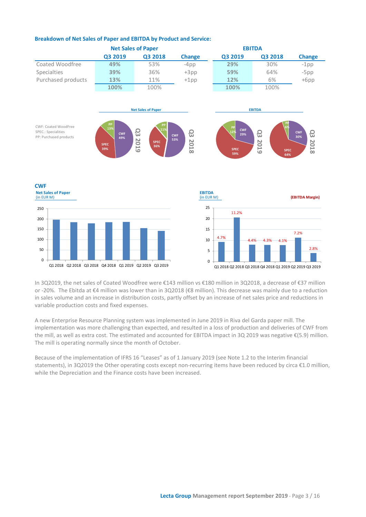

# **Breakdown of Net Sales of Paper and EBITDA by Product and Service:**

In 3Q2019, the net sales of Coated Woodfree were €143 million vs €180 million in 3Q2018, a decrease of €37 million or -20%. The Ebitda at €4 million was lower than in 3Q2018 (€8 million). This decrease was mainly due to a reduction in sales volume and an increase in distribution costs, partly offset by an increase of net sales price and reductions in variable production costs and fixed expenses.

A new Enterprise Resource Planning system was implemented in June 2019 in Riva del Garda paper mill. The implementation was more challenging than expected, and resulted in a loss of production and deliveries of CWF from the mill, as well as extra cost. The estimated and accounted for EBITDA impact in 3Q 2019 was negative €(5.9) million. The mill is operating normally since the month of October.

Because of the implementation of IFRS 16 "Leases" as of 1 January 2019 (see Note 1.2 to the Interim financial statements), in 3Q2019 the Other operating costs except non-recurring items have been reduced by circa €1.0 million, while the Depreciation and the Finance costs have been increased.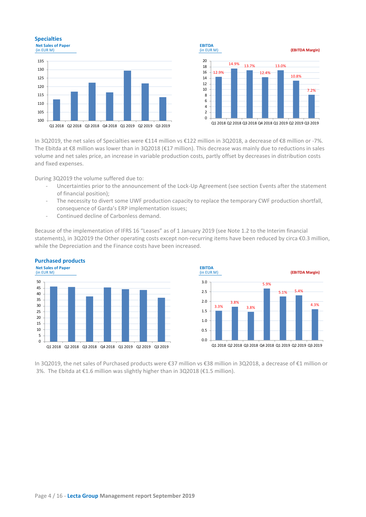# **Specialties**





In 3Q2019, the net sales of Specialties were €114 million vs €122 million in 3Q2018, a decrease of €8 million or -7%. The Ebitda at €8 million was lower than in 3Q2018 (€17 million). This decrease was mainly due to reductions in sales volume and net sales price, an increase in variable production costs, partly offset by decreases in distribution costs and fixed expenses.

During 3Q2019 the volume suffered due to:

- Uncertainties prior to the announcement of the Lock-Up Agreement (see section Events after the statement of financial position);
- The necessity to divert some UWF production capacity to replace the temporary CWF production shortfall, consequence of Garda's ERP implementation issues;
- Continued decline of Carbonless demand.

Because of the implementation of IFRS 16 "Leases" as of 1 January 2019 (see Note 1.2 to the Interim financial statements), in 3Q2019 the Other operating costs except non-recurring items have been reduced by circa €0.3 million, while the Depreciation and the Finance costs have been increased.



**Purchased products**

In 3Q2019, the net sales of Purchased products were €37 million vs €38 million in 3Q2018, a decrease of €1 million or 3%. The Ebitda at €1.6 million was slightly higher than in 3Q2018 (€1.5 million).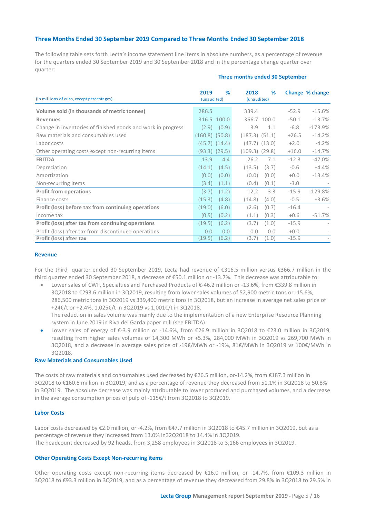# **Three Months Ended 30 September 2019 Compared to Three Months Ended 30 September 2018**

The following table sets forth Lecta's income statement line items in absolute numbers, as a percentage of revenue for the quarters ended 30 September 2019 and 30 September 2018 and in the percentage change quarter over quarter:

| (in millions of euro, except percentages)                    | 2019<br>(unaudited) | %                 | 2018<br>(unaudited) | %                 |         | Change % change |
|--------------------------------------------------------------|---------------------|-------------------|---------------------|-------------------|---------|-----------------|
| Volume sold (in thousands of metric tonnes)                  | 286.5               |                   | 339.4               |                   | $-52.9$ | $-15.6%$        |
| <b>Revenues</b>                                              |                     | 316.5 100.0       |                     | 366.7 100.0       | $-50.1$ | $-13.7%$        |
| Change in inventories of finished goods and work in progress | (2.9)               | (0.9)             | 3.9                 | 1.1               | $-6.8$  | $-173.9%$       |
| Raw materials and consumables used                           | $(160.8)$ $(50.8)$  |                   | $(187.3)$ $(51.1)$  |                   | $+26.5$ | $-14.2%$        |
| Labor costs                                                  |                     | $(45.7)$ $(14.4)$ |                     | $(47.7)$ $(13.0)$ | $+2.0$  | $-4.2%$         |
| Other operating costs except non-recurring items             |                     | $(93.3)$ $(29.5)$ | (109.3)             | (29.8)            | $+16.0$ | $-14.7%$        |
| <b>EBITDA</b>                                                | 13.9                | 4.4               | 26.2                | 7.1               | $-12.3$ | $-47.0\%$       |
| Depreciation                                                 | (14.1)              | (4.5)             | (13.5)              | (3.7)             | $-0.6$  | $+4.4%$         |
| Amortization                                                 | (0.0)               | (0.0)             | (0.0)               | (0.0)             | $+0.0$  | $-13.4%$        |
| Non-recurring items                                          | (3.4)               | (1.1)             | (0.4)               | (0.1)             | $-3.0$  |                 |
| <b>Profit from operations</b>                                | (3.7)               | (1.2)             | 12.2                | 3.3               | $-15.9$ | $-129.8%$       |
| Finance costs                                                | (15.3)              | (4.8)             | (14.8)              | (4.0)             | $-0.5$  | $+3.6%$         |
| Profit (loss) before tax from continuing operations          | (19.0)              | (6.0)             | (2.6)               | (0.7)             | $-16.4$ |                 |
| Income tax                                                   | (0.5)               | (0.2)             | (1.1)               | (0.3)             | $+0.6$  | $-51.7%$        |
| Profit (loss) after tax from continuing operations           | (19.5)              | (6.2)             | (3.7)               | (1.0)             | $-15.9$ |                 |
| Profit (loss) after tax from discontinued operations         | 0.0                 | 0.0               | 0.0                 | 0.0               | $+0.0$  |                 |
| Profit (loss) after tax                                      | 19.5)               | (6.2)             | (3.7)               | (1.0)             | $-15.9$ |                 |

#### **Three months ended 30 September**

#### **Revenue**

For the third quarter ended 30 September 2019, Lecta had revenue of €316.5 million versus €366.7 million in the third quarter ended 30 September 2018, a decrease of €50.1 million or -13.7%. This decrease was attributable to:

- Lower sales of CWF, Specialties and Purchased Products of €-46.2 million or -13.6%, from €339.8 million in 3Q2018 to €293.6 million in 3Q2019, resulting from lower sales volumes of 52,900 metric tons or -15.6%, 286,500 metric tons in 3Q2019 vs 339,400 metric tons in 3Q2018, but an increase in average net sales price of +24€/t or +2.4%, 1,025€/t in 3Q2019 vs 1,001€/t in 3Q2018. The reduction in sales volume was mainly due to the implementation of a new Enterprise Resource Planning system in June 2019 in Riva del Garda paper mill (see EBITDA).
- Lower sales of energy of €-3.9 million or -14.6%, from €26.9 million in 3Q2018 to €23.0 million in 3Q2019, resulting from higher sales volumes of 14,300 MWh or +5.3%, 284,000 MWh in 3Q2019 vs 269,700 MWh in 3Q2018, and a decrease in average sales price of -19€/MWh or -19%, 81€/MWh in 3Q2019 vs 100€/MWh in 3Q2018.

# **Raw Materials and Consumables Used**

The costs of raw materials and consumables used decreased by €26.5 million, or-14.2%, from €187.3 million in 3Q2018 to €160.8 million in 3Q2019, and as a percentage of revenue they decreased from 51.1% in 3Q2018 to 50.8% in 3Q2019. The absolute decrease was mainly attributable to lower produced and purchased volumes, and a decrease in the average consumption prices of pulp of -115€/t from 3Q2018 to 3Q2019.

## **Labor Costs**

Labor costs decreased by €2.0 million, or -4.2%, from €47.7 million in 3Q2018 to €45.7 million in 3Q2019, but as a percentage of revenue they increased from 13.0% in32Q2018 to 14.4% in 3Q2019. The headcount decreased by 92 heads, from 3,258 employees in 3Q2018 to 3,166 employees in 3Q2019.

#### **Other Operating Costs Except Non-recurring items**

Other operating costs except non-recurring items decreased by €16.0 million, or -14.7%, from €109.3 million in 3Q2018 to €93.3 million in 3Q2019, and as a percentage of revenue they decreased from 29.8% in 3Q2018 to 29.5% in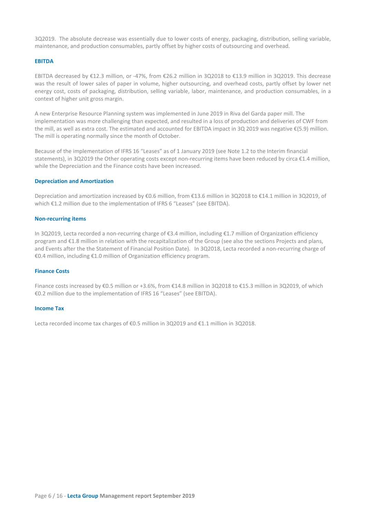3Q2019. The absolute decrease was essentially due to lower costs of energy, packaging, distribution, selling variable, maintenance, and production consumables, partly offset by higher costs of outsourcing and overhead.

## **EBITDA**

EBITDA decreased by €12.3 million, or -47%, from €26.2 million in 3Q2018 to €13.9 million in 3Q2019. This decrease was the result of lower sales of paper in volume, higher outsourcing, and overhead costs, partly offset by lower net energy cost, costs of packaging, distribution, selling variable, labor, maintenance, and production consumables, in a context of higher unit gross margin.

A new Enterprise Resource Planning system was implemented in June 2019 in Riva del Garda paper mill. The implementation was more challenging than expected, and resulted in a loss of production and deliveries of CWF from the mill, as well as extra cost. The estimated and accounted for EBITDA impact in 3Q 2019 was negative €(5.9) million. The mill is operating normally since the month of October.

Because of the implementation of IFRS 16 "Leases" as of 1 January 2019 (see Note 1.2 to the Interim financial statements), in 3Q2019 the Other operating costs except non-recurring items have been reduced by circa €1.4 million, while the Depreciation and the Finance costs have been increased.

#### **Depreciation and Amortization**

Depreciation and amortization increased by €0.6 million, from €13.6 million in 3Q2018 to €14.1 million in 3Q2019, of which €1.2 million due to the implementation of IFRS 6 "Leases" (see EBITDA).

#### **Non-recurring items**

In 3Q2019, Lecta recorded a non-recurring charge of €3.4 million, including €1.7 million of Organization efficiency program and €1.8 million in relation with the recapitalization of the Group (see also the sections Projects and plans, and Events after the the Statement of Financial Position Date). In 3Q2018, Lecta recorded a non-recurring charge of €0.4 million, including €1.0 million of Organization efficiency program.

#### **Finance Costs**

Finance costs increased by €0.5 million or +3.6%, from €14.8 million in 3Q2018 to €15.3 million in 3Q2019, of which €0.2 million due to the implementation of IFRS 16 "Leases" (see EBITDA).

#### **Income Tax**

Lecta recorded income tax charges of €0.5 million in 3Q2019 and €1.1 million in 3Q2018.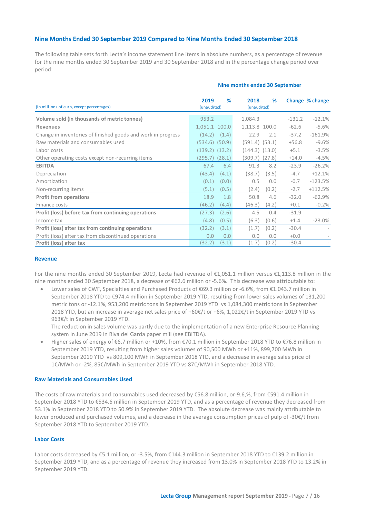# **Nine Months Ended 30 September 2019 Compared to Nine Months Ended 30 September 2018**

The following table sets forth Lecta's income statement line items in absolute numbers, as a percentage of revenue for the nine months ended 30 September 2019 and 30 September 2018 and in the percentage change period over period:

| (in millions of euro, except percentages)                    | 2019<br>(unaudited) | %     | 2018<br>(unaudited) | %     |          | Change % change |
|--------------------------------------------------------------|---------------------|-------|---------------------|-------|----------|-----------------|
| Volume sold (in thousands of metric tonnes)                  | 953.2               |       | 1,084.3             |       | $-131.2$ | $-12.1%$        |
| <b>Revenues</b>                                              | 1,051.1 100.0       |       | 1,113.8 100.0       |       | $-62.6$  | $-5.6%$         |
| Change in inventories of finished goods and work in progress | (14.2)              | (1.4) | 22.9                | 2.1   | $-37.2$  | $-161.9%$       |
| Raw materials and consumables used                           | (534.6) (50.9)      |       | $(591.4)$ $(53.1)$  |       | $+56.8$  | $-9.6%$         |
| Labor costs                                                  | (139.2) (13.2)      |       | $(144.3)$ $(13.0)$  |       | $+5.1$   | $-3.5%$         |
| Other operating costs except non-recurring items             | $(295.7)$ $(28.1)$  |       | $(309.7)$ $(27.8)$  |       | $+14.0$  | $-4.5%$         |
| <b>EBITDA</b>                                                | 67.4                | 6.4   | 91.3                | 8.2   | $-23.9$  | $-26.2%$        |
| Depreciation                                                 | (43.4)              | (4.1) | (38.7)              | (3.5) | $-4.7$   | $+12.1%$        |
| Amortization                                                 | (0.1)               | (0.0) | 0.5                 | 0.0   | $-0.7$   | $-123.5%$       |
| Non-recurring items                                          | (5.1)               | (0.5) | (2.4)               | (0.2) | $-2.7$   | $+112.5%$       |
| <b>Profit from operations</b>                                | 18.9                | 1.8   | 50.8                | 4.6   | $-32.0$  | $-62.9%$        |
| Finance costs                                                | (46.2)              | (4.4) | (46.3)              | (4.2) | $+0.1$   | $-0.2%$         |
| Profit (loss) before tax from continuing operations          | (27.3)              | (2.6) | 4.5                 | 0.4   | $-31.9$  |                 |
| Income tax                                                   | (4.8)               | (0.5) | (6.3)               | (0.6) | $+1.4$   | $-23.0%$        |
| Profit (loss) after tax from continuing operations           | (32.2)              | (3.1) | (1.7)               | (0.2) | $-30.4$  |                 |
| Profit (loss) after tax from discontinued operations         | 0.0                 | 0.0   | 0.0                 | 0.0   | $+0.0$   |                 |
| Profit (loss) after tax                                      | (32.2)              | (3.1) | (1.7)               | (0.2) | $-30.4$  |                 |

#### **Nine months ended 30 September**

#### **Revenue**

For the nine months ended 30 September 2019, Lecta had revenue of €1,051.1 million versus €1,113.8 million in the nine months ended 30 September 2018, a decrease of €62.6 million or -5.6%. This decrease was attributable to:

• Lower sales of CWF, Specialties and Purchased Products of €69.3 million or -6.6%, from €1.043.7 million in September 2018 YTD to €974.4 million in September 2019 YTD, resulting from lower sales volumes of 131,200 metric tons or -12.1%, 953,200 metric tons in September 2019 YTD vs 1,084,300 metric tons in September 2018 YTD, but an increase in average net sales price of +60€/t or +6%, 1,022€/t in September 2019 YTD vs 963€/t in September 2019 YTD.

The reduction in sales volume was partly due to the implementation of a new Enterprise Resource Planning system in June 2019 in Riva del Garda paper mill (see EBITDA).

• Higher sales of energy of €6.7 million or +10%, from €70.1 million in September 2018 YTD to €76.8 million in September 2019 YTD, resulting from higher sales volumes of 90,500 MWh or +11%, 899,700 MWh in September 2019 YTD vs 809,100 MWh in September 2018 YTD, and a decrease in average sales price of 1€/MWh or -2%, 85€/MWh in September 2019 YTD vs 87€/MWh in September 2018 YTD.

## **Raw Materials and Consumables Used**

The costs of raw materials and consumables used decreased by €56.8 million, or-9.6,%, from €591.4 million in September 2018 YTD to €534.6 million in September 2019 YTD, and as a percentage of revenue they decreased from 53.1% in September 2018 YTD to 50.9% in September 2019 YTD. The absolute decrease was mainly attributable to lower produced and purchased volumes, and a decrease in the average consumption prices of pulp of -30€/t from September 2018 YTD to September 2019 YTD.

## **Labor Costs**

Labor costs decreased by €5.1 million, or -3.5%, from €144.3 million in September 2018 YTD to €139.2 million in September 2019 YTD, and as a percentage of revenue they increased from 13.0% in September 2018 YTD to 13.2% in September 2019 YTD.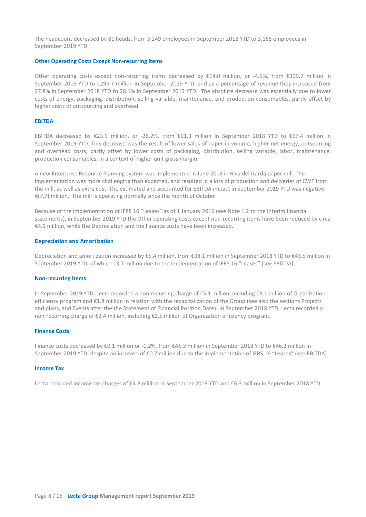The headcount decreased by 81 heads, from 3,249 employees in September 2018 YTD to 3,168 employees in September 2019 YTD.

## **Other Operating Costs Except Non-recurring items**

Other operating costs except non-recurring items decreased by €14.0 million, or -4.5%, from €309.7 million in September 2018 YTD to €295.7 million in September 2019 YTD, and as a percentage of revenue they increased from 27.8% in September 2018 YTD to 28.1% in September 2019 YTD. The absolute decrease was essentially due to lower costs of energy, packaging, distribution, selling variable, maintenance, and production consumables, partly offset by higher costs of outsourcing and overhead.

#### **EBITDA**

EBITDA decreased by €23.9 million, or -26.2%, from €91.3 million in September 2018 YTD to €67.4 million in September 2019 YTD. This decrease was the result of lower sales of paper in volume, higher net energy, outsourcing and overhead costs, partly offset by lower costs of packaging, distribution, selling variable, labor, maintenance, production consumables, in a context of higher unit gross margin.

A new Enterprise Resource Planning system was implemented in June 2019 in Riva del Garda paper mill. The implementation was more challenging than expected, and resulted in a loss of production and deliveries of CWF from the mill, as well as extra cost. The estimated and accounted for EBITDA impact in September 2019 YTD was negative €(7.7) million. The mill is operating normally since the month of October.

Because of the implementation of IFRS 16 "Leases" as of 1 January 2019 (see Note 1.2 to the Interim financial statements), in September 2019 YTD the Other operating costs except non-recurring items have been reduced by circa €4.1 million, while the Depreciation and the Finance costs have been increased.

#### **Depreciation and Amortization**

Depreciation and amortization increased by €5.4 million, from €38.1 million in September 2018 YTD to €43.5 million in September 2019 YTD, of which €3.7 million due to the implementation of IFRS 16 "Leases" (see EBITDA)..

#### **Non-recurring items**

In September 2019 YTD, Lecta recorded a non-recurring charge of €5.1 million, including €3.1 million of Organization efficiency program and €1.8 million in relation with the recapitalization of the Group (see also the sections Projects and plans, and Events after the the Statement of Financial Position Date). In September 2018 YTD, Lecta recorded a non-recurring charge of €2.4 million, including €2.5 million of Organization efficiency program.

#### **Finance Costs**

Finance costs decreased by €0.1 million or -0.2%, from €46.3 million in September 2018 YTD to €46.2 million in September 2019 YTD, despite an increase of €0.7 million due to the implementation of IFRS 16 "Leases" (see EBITDA)..

#### **Income Tax**

Lecta recorded income tax charges of €4.8 million in September 2019 YTD and €6.3 million in September 2018 YTD.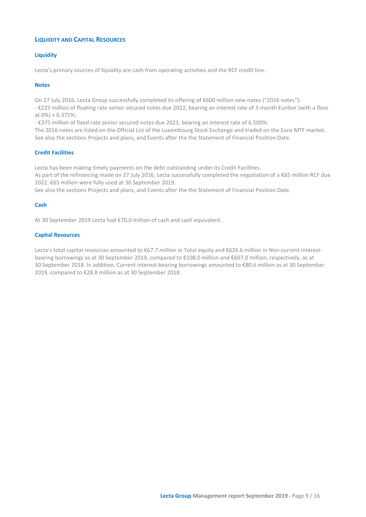# **LIQUIDITY AND CAPITAL RESOURCES**

# **Liquidity**

Lecta's primary sources of liquidity are cash from operating activities and the RCF credit line.

# **Notes**

On 27 July 2016, Lecta Group successfully completed its offering of €600 million new notes ("2016 notes"):

- €225 million of floating rate senior secured notes due 2022, bearing an interest rate of 3-month Euribor (with a floor at 0%) + 6.375%;

- €375 million of fixed rate senior secured notes due 2023, bearing an interest rate of 6.500%.

The 2016 notes are listed on the Official List of the Luxembourg Stock Exchange and traded on the Euro MTF market. See also the sections Projects and plans, and Events after the the Statement of Financial Position Date.

# **Credit Facilities**

Lecta has been making timely payments on the debt outstanding under its Credit Facilities.

As part of the refinancing made on 27 July 2016, Lecta successfully completed the negotiation of a €65 million RCF due 2022. €65 million were fully used at 30 September 2019.

See also the sections Projects and plans, and Events after the the Statement of Financial Position Date.

# **Cash**

At 30 September 2019 Lecta had €70.0 million of cash and cash equivalent.

# **Capital Resources**

Lecta's total capital resources amounted to €67.7 million in Total equity and €626.6 million in Non-current interestbearing borrowings as at 30 September 2019, compared to €108.0 million and €607.0 million, respectively, as at 30 September 2018. In addition, Current interest-bearing borrowings amounted to €80.6 million as at 30 September 2019, compared to €28.8 million as at 30 September 2018.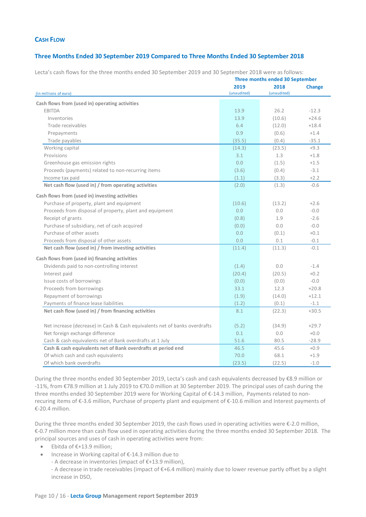# **CASH FLOW**

# **Three Months Ended 30 September 2019 Compared to Three Months Ended 30 September 2018**

|                                                                            |             | Three months ended 30 September |               |
|----------------------------------------------------------------------------|-------------|---------------------------------|---------------|
|                                                                            | 2019        | 2018                            | <b>Change</b> |
| (in millions of euro)                                                      | (unaudited) | (unaudited)                     |               |
| Cash flows from (used in) operating activities                             |             |                                 |               |
| <b>EBITDA</b>                                                              | 13.9        | 26.2                            | $-12.3$       |
| Inventories                                                                | 13.9        | (10.6)                          | $+24.6$       |
| Trade receivables                                                          | 6.4         | (12.0)                          | $+18.4$       |
| Prepayments                                                                | 0.9         | (0.6)                           | $+1.4$        |
| Trade payables                                                             | (35.5)      | (0.4)                           | $-35.1$       |
| Working capital                                                            | (14.3)      | (23.5)                          | $+9.3$        |
| Provisions                                                                 | 3.1         | 1.3                             | $+1.8$        |
| Greenhouse gas emission rights                                             | 0.0         | (1.5)                           | $+1.5$        |
| Proceeds (payments) related to non-recurring items                         | (3.6)       | (0.4)                           | $-3.1$        |
| Income tax paid                                                            | (1.1)       | (3.3)                           | $+2.2$        |
| Net cash flow (used in) / from operating activities                        | (2.0)       | (1.3)                           | $-0.6$        |
| Cash flows from (used in) investing activities                             |             |                                 |               |
| Purchase of property, plant and equipment                                  | (10.6)      | (13.2)                          | $+2.6$        |
| Proceeds from disposal of property, plant and equipment                    | 0.0         | 0.0                             | $-0.0$        |
| Receipt of grants                                                          | (0.8)       | 1.9                             | $-2.6$        |
| Purchase of subsidiary, net of cash acquired                               | (0.0)       | 0.0                             | $-0.0$        |
| Purchase of other assets                                                   | 0.0         | (0.1)                           | $+0.1$        |
| Proceeds from disposal of other assets                                     | 0.0         | 0.1                             | $-0.1$        |
| Net cash flow (used in) / from investing activities                        | (11.4)      | (11.3)                          | $-0.1$        |
| Cash flows from (used in) financing activities                             |             |                                 |               |
| Dividends paid to non-controlling interest                                 | (1.4)       | 0.0                             | $-1.4$        |
| Interest paid                                                              | (20.4)      | (20.5)                          | $+0.2$        |
| Issue costs of borrowings                                                  | (0.0)       | (0.0)                           | $-0.0$        |
| Proceeds from borrowings                                                   | 33.1        | 12.3                            | $+20.8$       |
| Repayment of borrowings                                                    | (1.9)       | (14.0)                          | $+12.1$       |
| Payments of finance lease liabilities                                      | (1.2)       | (0.1)                           | $-1.1$        |
| Net cash flow (used in) / from financing activities                        | 8.1         | (22.3)                          | $+30.5$       |
|                                                                            |             |                                 |               |
| Net increase (decrease) in Cash & Cash equivalents net of banks overdrafts | (5.2)       | (34.9)                          | $+29.7$       |
| Net foreign exchange difference                                            | 0.1         | 0.0                             | $+0.0$        |
| Cash & cash equivalents net of Bank overdrafts at 1 July                   | 51.6        | 80.5                            | $-28.9$       |
| Cash & cash equivalents net of Bank overdrafts at period end               | 46.5        | 45.6                            | $+0.9$        |
| Of which cash and cash equivalents                                         | 70.0        | 68.1                            | $+1.9$        |
| Of which bank overdrafts                                                   | (23.5)      | (22.5)                          | $-1.0$        |

Lecta's cash flows for the three months ended 30 September 2019 and 30 September 2018 were as follows:

During the three months ended 30 September 2019, Lecta's cash and cash equivalents decreased by €8.9 million or -11%, from €78.9 million at 1 July 2019 to €70.0 million at 30 September 2019. The principal uses of cash during the three months ended 30 September 2019 were for Working Capital of €-14.3 million, Payments related to nonrecuring items of €-3.6 million, Purchase of property plant and equipment of €-10.6 million and Interest payments of €-20.4 million.

During the three months ended 30 September 2019, the cash flows used in operating activities were €-2.0 million, €-0.7 million more than cash flow used in operating activities during the three months ended 30 September 2018. The principal sources and uses of cash in operating activities were from:

- Ebitda of €+13.9 million;
- Increase in Working capital of €-14.3 million due to
	- A decrease in inventories (impact of €+13.9 million),
	- A decrease in trade receivables (impact of €+6.4 million) mainly due to lower revenue partly offset by a slight increase in DSO,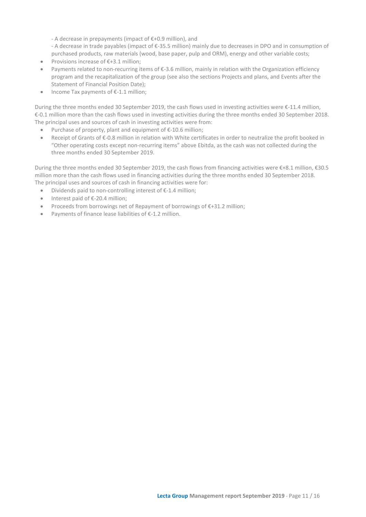- A decrease in prepayments (impact of €+0.9 million), and

- A decrease in trade payables (impact of €-35.5 million) mainly due to decreases in DPO and in consumption of purchased products, raw materials (wood, base paper, pulp and ORM), energy and other variable costs;

- Provisions increase of €+3.1 million;
- Payments related to non-recurring items of €-3.6 million, mainly in relation with the Organization efficiency program and the recapitalization of the group (see also the sections Projects and plans, and Events after the Statement of Financial Position Date);
- Income Tax payments of €-1.1 million;

During the three months ended 30 September 2019, the cash flows used in investing activities were €-11.4 million, €-0.1 million more than the cash flows used in investing activities during the three months ended 30 September 2018. The principal uses and sources of cash in investing activities were from:

- Purchase of property, plant and equipment of €-10.6 million;
- Receipt of Grants of €-0.8 million in relation with White certificates in order to neutralize the profit booked in "Other operating costs except non-recurring items" above Ebitda, as the cash was not collected during the three months ended 30 September 2019.

During the three months ended 30 September 2019, the cash flows from financing activities were €+8.1 million, €30.5 million more than the cash flows used in financing activities during the three months ended 30 September 2018. The principal uses and sources of cash in financing activities were for:

- Dividends paid to non-controlling interest of €-1.4 million;
- Interest paid of €-20.4 million;
- Proceeds from borrowings net of Repayment of borrowings of €+31.2 million;
- Payments of finance lease liabilities of €-1.2 million.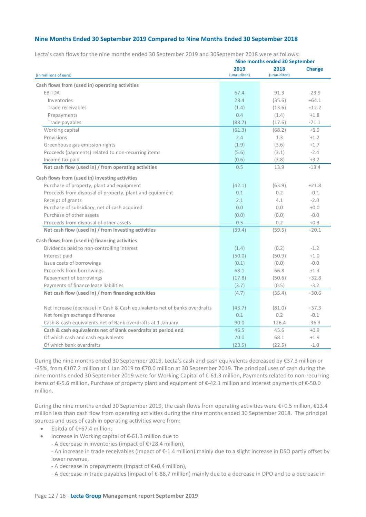# **Nine Months Ended 30 September 2019 Compared to Nine Months Ended 30 September 2018**

| 2019<br>2018<br>(unaudited)<br>(unaudited)<br>(in millions of euro)<br>Cash flows from (used in) operating activities<br>$-23.9$<br><b>EBITDA</b><br>67.4<br>91.3<br>28.4<br>(35.6)<br>$+64.1$<br>Inventories<br>Trade receivables<br>(13.6)<br>$+12.2$<br>(1.4)<br>0.4<br>(1.4)<br>$+1.8$<br>Prepayments<br>Trade payables<br>(88.7)<br>(17.6)<br>$-71.1$<br>Working capital<br>(68.2)<br>$+6.9$<br>(61.3)<br>Provisions<br>2.4<br>1.3<br>$+1.2$<br>Greenhouse gas emission rights<br>(1.9)<br>$+1.7$<br>(3.6)<br>Proceeds (payments) related to non-recurring items<br>(5.6)<br>(3.1)<br>$-2.4$<br>Income tax paid<br>(0.6)<br>(3.8)<br>$+3.2$<br>Net cash flow (used in) / from operating activities<br>0.5<br>$-13.4$<br>13.9<br>Cash flows from (used in) investing activities<br>Purchase of property, plant and equipment<br>(42.1)<br>(63.9)<br>$+21.8$<br>Proceeds from disposal of property, plant and equipment<br>0.1<br>0.2<br>$-0.1$<br>Receipt of grants<br>2.1<br>4.1<br>$-2.0$<br>Purchase of subsidiary, net of cash acquired<br>0.0<br>0.0<br>$+0.0$<br>Purchase of other assets<br>$-0.0$<br>(0.0)<br>(0.0)<br>0.5<br>0.2<br>Proceeds from disposal of other assets<br>$+0.3$<br>Net cash flow (used in) / from investing activities<br>(39.4)<br>(59.5)<br>$+20.1$<br>Cash flows from (used in) financing activities<br>Dividends paid to non-controlling interest<br>(1.4)<br>(0.2)<br>$-1.2$<br>Interest paid<br>(50.0)<br>(50.9)<br>$+1.0$<br>Issue costs of borrowings<br>(0.1)<br>$-0.0$<br>(0.0)<br>Proceeds from borrowings<br>68.1<br>66.8<br>$+1.3$<br>Repayment of borrowings<br>$+32.8$<br>(17.8)<br>(50.6)<br>Payments of finance lease liabilities<br>(3.7)<br>(0.5)<br>$-3.2$<br>Net cash flow (used in) / from financing activities<br>(4.7)<br>(35.4)<br>$+30.6$<br>Net increase (decrease) in Cash & Cash equivalents net of banks overdrafts<br>(43.7)<br>(81.0)<br>$+37.3$<br>Net foreign exchange difference<br>0.1<br>0.2<br>$-0.1$<br>Cash & cash equivalents net of Bank overdrafts at 1 January<br>90.0<br>126.4<br>$-36.3$<br>Cash & cash equivalents net of Bank overdrafts at period end<br>46.5<br>45.6<br>$+0.9$<br>Of which cash and cash equivalents<br>70.0<br>68.1<br>$+1.9$ |  | Nine months ended 30 September |               |
|------------------------------------------------------------------------------------------------------------------------------------------------------------------------------------------------------------------------------------------------------------------------------------------------------------------------------------------------------------------------------------------------------------------------------------------------------------------------------------------------------------------------------------------------------------------------------------------------------------------------------------------------------------------------------------------------------------------------------------------------------------------------------------------------------------------------------------------------------------------------------------------------------------------------------------------------------------------------------------------------------------------------------------------------------------------------------------------------------------------------------------------------------------------------------------------------------------------------------------------------------------------------------------------------------------------------------------------------------------------------------------------------------------------------------------------------------------------------------------------------------------------------------------------------------------------------------------------------------------------------------------------------------------------------------------------------------------------------------------------------------------------------------------------------------------------------------------------------------------------------------------------------------------------------------------------------------------------------------------------------------------------------------------------------------------------------------------------------------------------------------------------------------------------------------------------------------------------------------------|--|--------------------------------|---------------|
|                                                                                                                                                                                                                                                                                                                                                                                                                                                                                                                                                                                                                                                                                                                                                                                                                                                                                                                                                                                                                                                                                                                                                                                                                                                                                                                                                                                                                                                                                                                                                                                                                                                                                                                                                                                                                                                                                                                                                                                                                                                                                                                                                                                                                                    |  |                                | <b>Change</b> |
|                                                                                                                                                                                                                                                                                                                                                                                                                                                                                                                                                                                                                                                                                                                                                                                                                                                                                                                                                                                                                                                                                                                                                                                                                                                                                                                                                                                                                                                                                                                                                                                                                                                                                                                                                                                                                                                                                                                                                                                                                                                                                                                                                                                                                                    |  |                                |               |
|                                                                                                                                                                                                                                                                                                                                                                                                                                                                                                                                                                                                                                                                                                                                                                                                                                                                                                                                                                                                                                                                                                                                                                                                                                                                                                                                                                                                                                                                                                                                                                                                                                                                                                                                                                                                                                                                                                                                                                                                                                                                                                                                                                                                                                    |  |                                |               |
|                                                                                                                                                                                                                                                                                                                                                                                                                                                                                                                                                                                                                                                                                                                                                                                                                                                                                                                                                                                                                                                                                                                                                                                                                                                                                                                                                                                                                                                                                                                                                                                                                                                                                                                                                                                                                                                                                                                                                                                                                                                                                                                                                                                                                                    |  |                                |               |
|                                                                                                                                                                                                                                                                                                                                                                                                                                                                                                                                                                                                                                                                                                                                                                                                                                                                                                                                                                                                                                                                                                                                                                                                                                                                                                                                                                                                                                                                                                                                                                                                                                                                                                                                                                                                                                                                                                                                                                                                                                                                                                                                                                                                                                    |  |                                |               |
|                                                                                                                                                                                                                                                                                                                                                                                                                                                                                                                                                                                                                                                                                                                                                                                                                                                                                                                                                                                                                                                                                                                                                                                                                                                                                                                                                                                                                                                                                                                                                                                                                                                                                                                                                                                                                                                                                                                                                                                                                                                                                                                                                                                                                                    |  |                                |               |
|                                                                                                                                                                                                                                                                                                                                                                                                                                                                                                                                                                                                                                                                                                                                                                                                                                                                                                                                                                                                                                                                                                                                                                                                                                                                                                                                                                                                                                                                                                                                                                                                                                                                                                                                                                                                                                                                                                                                                                                                                                                                                                                                                                                                                                    |  |                                |               |
|                                                                                                                                                                                                                                                                                                                                                                                                                                                                                                                                                                                                                                                                                                                                                                                                                                                                                                                                                                                                                                                                                                                                                                                                                                                                                                                                                                                                                                                                                                                                                                                                                                                                                                                                                                                                                                                                                                                                                                                                                                                                                                                                                                                                                                    |  |                                |               |
|                                                                                                                                                                                                                                                                                                                                                                                                                                                                                                                                                                                                                                                                                                                                                                                                                                                                                                                                                                                                                                                                                                                                                                                                                                                                                                                                                                                                                                                                                                                                                                                                                                                                                                                                                                                                                                                                                                                                                                                                                                                                                                                                                                                                                                    |  |                                |               |
|                                                                                                                                                                                                                                                                                                                                                                                                                                                                                                                                                                                                                                                                                                                                                                                                                                                                                                                                                                                                                                                                                                                                                                                                                                                                                                                                                                                                                                                                                                                                                                                                                                                                                                                                                                                                                                                                                                                                                                                                                                                                                                                                                                                                                                    |  |                                |               |
|                                                                                                                                                                                                                                                                                                                                                                                                                                                                                                                                                                                                                                                                                                                                                                                                                                                                                                                                                                                                                                                                                                                                                                                                                                                                                                                                                                                                                                                                                                                                                                                                                                                                                                                                                                                                                                                                                                                                                                                                                                                                                                                                                                                                                                    |  |                                |               |
|                                                                                                                                                                                                                                                                                                                                                                                                                                                                                                                                                                                                                                                                                                                                                                                                                                                                                                                                                                                                                                                                                                                                                                                                                                                                                                                                                                                                                                                                                                                                                                                                                                                                                                                                                                                                                                                                                                                                                                                                                                                                                                                                                                                                                                    |  |                                |               |
|                                                                                                                                                                                                                                                                                                                                                                                                                                                                                                                                                                                                                                                                                                                                                                                                                                                                                                                                                                                                                                                                                                                                                                                                                                                                                                                                                                                                                                                                                                                                                                                                                                                                                                                                                                                                                                                                                                                                                                                                                                                                                                                                                                                                                                    |  |                                |               |
|                                                                                                                                                                                                                                                                                                                                                                                                                                                                                                                                                                                                                                                                                                                                                                                                                                                                                                                                                                                                                                                                                                                                                                                                                                                                                                                                                                                                                                                                                                                                                                                                                                                                                                                                                                                                                                                                                                                                                                                                                                                                                                                                                                                                                                    |  |                                |               |
|                                                                                                                                                                                                                                                                                                                                                                                                                                                                                                                                                                                                                                                                                                                                                                                                                                                                                                                                                                                                                                                                                                                                                                                                                                                                                                                                                                                                                                                                                                                                                                                                                                                                                                                                                                                                                                                                                                                                                                                                                                                                                                                                                                                                                                    |  |                                |               |
|                                                                                                                                                                                                                                                                                                                                                                                                                                                                                                                                                                                                                                                                                                                                                                                                                                                                                                                                                                                                                                                                                                                                                                                                                                                                                                                                                                                                                                                                                                                                                                                                                                                                                                                                                                                                                                                                                                                                                                                                                                                                                                                                                                                                                                    |  |                                |               |
|                                                                                                                                                                                                                                                                                                                                                                                                                                                                                                                                                                                                                                                                                                                                                                                                                                                                                                                                                                                                                                                                                                                                                                                                                                                                                                                                                                                                                                                                                                                                                                                                                                                                                                                                                                                                                                                                                                                                                                                                                                                                                                                                                                                                                                    |  |                                |               |
|                                                                                                                                                                                                                                                                                                                                                                                                                                                                                                                                                                                                                                                                                                                                                                                                                                                                                                                                                                                                                                                                                                                                                                                                                                                                                                                                                                                                                                                                                                                                                                                                                                                                                                                                                                                                                                                                                                                                                                                                                                                                                                                                                                                                                                    |  |                                |               |
|                                                                                                                                                                                                                                                                                                                                                                                                                                                                                                                                                                                                                                                                                                                                                                                                                                                                                                                                                                                                                                                                                                                                                                                                                                                                                                                                                                                                                                                                                                                                                                                                                                                                                                                                                                                                                                                                                                                                                                                                                                                                                                                                                                                                                                    |  |                                |               |
|                                                                                                                                                                                                                                                                                                                                                                                                                                                                                                                                                                                                                                                                                                                                                                                                                                                                                                                                                                                                                                                                                                                                                                                                                                                                                                                                                                                                                                                                                                                                                                                                                                                                                                                                                                                                                                                                                                                                                                                                                                                                                                                                                                                                                                    |  |                                |               |
|                                                                                                                                                                                                                                                                                                                                                                                                                                                                                                                                                                                                                                                                                                                                                                                                                                                                                                                                                                                                                                                                                                                                                                                                                                                                                                                                                                                                                                                                                                                                                                                                                                                                                                                                                                                                                                                                                                                                                                                                                                                                                                                                                                                                                                    |  |                                |               |
|                                                                                                                                                                                                                                                                                                                                                                                                                                                                                                                                                                                                                                                                                                                                                                                                                                                                                                                                                                                                                                                                                                                                                                                                                                                                                                                                                                                                                                                                                                                                                                                                                                                                                                                                                                                                                                                                                                                                                                                                                                                                                                                                                                                                                                    |  |                                |               |
|                                                                                                                                                                                                                                                                                                                                                                                                                                                                                                                                                                                                                                                                                                                                                                                                                                                                                                                                                                                                                                                                                                                                                                                                                                                                                                                                                                                                                                                                                                                                                                                                                                                                                                                                                                                                                                                                                                                                                                                                                                                                                                                                                                                                                                    |  |                                |               |
|                                                                                                                                                                                                                                                                                                                                                                                                                                                                                                                                                                                                                                                                                                                                                                                                                                                                                                                                                                                                                                                                                                                                                                                                                                                                                                                                                                                                                                                                                                                                                                                                                                                                                                                                                                                                                                                                                                                                                                                                                                                                                                                                                                                                                                    |  |                                |               |
|                                                                                                                                                                                                                                                                                                                                                                                                                                                                                                                                                                                                                                                                                                                                                                                                                                                                                                                                                                                                                                                                                                                                                                                                                                                                                                                                                                                                                                                                                                                                                                                                                                                                                                                                                                                                                                                                                                                                                                                                                                                                                                                                                                                                                                    |  |                                |               |
|                                                                                                                                                                                                                                                                                                                                                                                                                                                                                                                                                                                                                                                                                                                                                                                                                                                                                                                                                                                                                                                                                                                                                                                                                                                                                                                                                                                                                                                                                                                                                                                                                                                                                                                                                                                                                                                                                                                                                                                                                                                                                                                                                                                                                                    |  |                                |               |
|                                                                                                                                                                                                                                                                                                                                                                                                                                                                                                                                                                                                                                                                                                                                                                                                                                                                                                                                                                                                                                                                                                                                                                                                                                                                                                                                                                                                                                                                                                                                                                                                                                                                                                                                                                                                                                                                                                                                                                                                                                                                                                                                                                                                                                    |  |                                |               |
|                                                                                                                                                                                                                                                                                                                                                                                                                                                                                                                                                                                                                                                                                                                                                                                                                                                                                                                                                                                                                                                                                                                                                                                                                                                                                                                                                                                                                                                                                                                                                                                                                                                                                                                                                                                                                                                                                                                                                                                                                                                                                                                                                                                                                                    |  |                                |               |
|                                                                                                                                                                                                                                                                                                                                                                                                                                                                                                                                                                                                                                                                                                                                                                                                                                                                                                                                                                                                                                                                                                                                                                                                                                                                                                                                                                                                                                                                                                                                                                                                                                                                                                                                                                                                                                                                                                                                                                                                                                                                                                                                                                                                                                    |  |                                |               |
|                                                                                                                                                                                                                                                                                                                                                                                                                                                                                                                                                                                                                                                                                                                                                                                                                                                                                                                                                                                                                                                                                                                                                                                                                                                                                                                                                                                                                                                                                                                                                                                                                                                                                                                                                                                                                                                                                                                                                                                                                                                                                                                                                                                                                                    |  |                                |               |
|                                                                                                                                                                                                                                                                                                                                                                                                                                                                                                                                                                                                                                                                                                                                                                                                                                                                                                                                                                                                                                                                                                                                                                                                                                                                                                                                                                                                                                                                                                                                                                                                                                                                                                                                                                                                                                                                                                                                                                                                                                                                                                                                                                                                                                    |  |                                |               |
|                                                                                                                                                                                                                                                                                                                                                                                                                                                                                                                                                                                                                                                                                                                                                                                                                                                                                                                                                                                                                                                                                                                                                                                                                                                                                                                                                                                                                                                                                                                                                                                                                                                                                                                                                                                                                                                                                                                                                                                                                                                                                                                                                                                                                                    |  |                                |               |
|                                                                                                                                                                                                                                                                                                                                                                                                                                                                                                                                                                                                                                                                                                                                                                                                                                                                                                                                                                                                                                                                                                                                                                                                                                                                                                                                                                                                                                                                                                                                                                                                                                                                                                                                                                                                                                                                                                                                                                                                                                                                                                                                                                                                                                    |  |                                |               |
|                                                                                                                                                                                                                                                                                                                                                                                                                                                                                                                                                                                                                                                                                                                                                                                                                                                                                                                                                                                                                                                                                                                                                                                                                                                                                                                                                                                                                                                                                                                                                                                                                                                                                                                                                                                                                                                                                                                                                                                                                                                                                                                                                                                                                                    |  |                                |               |
| Of which bank overdrafts<br>(23.5)<br>(22.5)<br>$-1.0$                                                                                                                                                                                                                                                                                                                                                                                                                                                                                                                                                                                                                                                                                                                                                                                                                                                                                                                                                                                                                                                                                                                                                                                                                                                                                                                                                                                                                                                                                                                                                                                                                                                                                                                                                                                                                                                                                                                                                                                                                                                                                                                                                                             |  |                                |               |

Lecta's cash flows for the nine months ended 30 September 2019 and 30September 2018 were as follows:

During the nine months ended 30 September 2019, Lecta's cash and cash equivalents decreased by €37.3 million or -35%, from €107.2 million at 1 Jan 2019 to €70.0 million at 30 September 2019. The principal uses of cash during the nine months ended 30 September 2019 were for Working Capital of €-61.3 million, Payments related to non-recurring items of €-5.6 million, Purchase of property plant and equipment of €-42.1 million and Interest payments of €-50.0 million.

During the nine months ended 30 September 2019, the cash flows from operating activities were €+0.5 million, €13.4 million less than cash flow from operating activities during the nine months ended 30 September 2018. The principal sources and uses of cash in operating activities were from:

- Ebitda of €+67.4 million;
- Increase in Working capital of €-61.3 million due to
	- A decrease in inventories (impact of €+28.4 million),
	- An increase in trade receivables (impact of €-1.4 million) mainly due to a slight increase in DSO partly offset by lower revenue,
	- A decrease in prepayments (impact of €+0.4 million),
	- A decrease in trade payables (impact of €-88.7 million) mainly due to a decrease in DPO and to a decrease in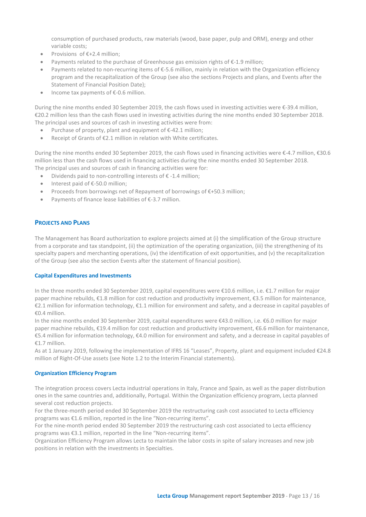consumption of purchased products, raw materials (wood, base paper, pulp and ORM), energy and other variable costs;

- Provisions of €+2.4 million;
- Payments related to the purchase of Greenhouse gas emission rights of €-1.9 million;
- Payments related to non-recurring items of €-5.6 million, mainly in relation with the Organization efficiency program and the recapitalization of the Group (see also the sections Projects and plans, and Events after the Statement of Financial Position Date);
- Income tax payments of €-0.6 million.

During the nine months ended 30 September 2019, the cash flows used in investing activities were €-39.4 million, €20.2 million less than the cash flows used in investing activities during the nine months ended 30 September 2018. The principal uses and sources of cash in investing activities were from:

- Purchase of property, plant and equipment of  $\epsilon$ -42.1 million;
- Receipt of Grants of €2.1 million in relation with White certificates.

During the nine months ended 30 September 2019, the cash flows used in financing activities were €-4.7 million, €30.6 million less than the cash flows used in financing activities during the nine months ended 30 September 2018. The principal uses and sources of cash in financing activities were for:

- Dividends paid to non-controlling interests of € -1.4 million;
- Interest paid of €-50.0 million;
- Proceeds from borrowings net of Repayment of borrowings of €+50.3 million;
- Payments of finance lease liabilities of €-3.7 million.

# **PROJECTS AND PLANS**

The Management has Board authorization to explore projects aimed at (i) the simplification of the Group structure from a corporate and tax standpoint, (ii) the optimization of the operating organization, (iii) the strengthening of its specialty papers and merchanting operations, (iv) the identification of exit opportunities, and (v) the recapitalization of the Group (see also the section Events after the statement of financial position).

# **Capital Expenditures and Investments**

In the three months ended 30 September 2019, capital expenditures were €10.6 million, i.e. €1.7 million for major paper machine rebuilds, €1.8 million for cost reduction and productivity improvement, €3.5 million for maintenance, €2.1 million for information technology, €1.1 million for environment and safety, and a decrease in capital payables of €0.4 million.

In the nine months ended 30 September 2019, capital expenditures were €43.0 million, i.e. €6.0 million for major paper machine rebuilds, €19.4 million for cost reduction and productivity improvement, €6.6 million for maintenance, €5.4 million for information technology, €4.0 million for environment and safety, and a decrease in capital payables of €1.7 million.

As at 1 January 2019, following the implementation of IFRS 16 "Leases", Property, plant and equipment included €24.8 million of Right-Of-Use assets (see Note 1.2 to the Interim Financial statements).

# **Organization Efficiency Program**

The integration process covers Lecta industrial operations in Italy, France and Spain, as well as the paper distribution ones in the same countries and, additionally, Portugal. Within the Organization efficiency program, Lecta planned several cost reduction projects.

For the three-month period ended 30 September 2019 the restructuring cash cost associated to Lecta efficiency programs was €1.6 million, reported in the line "Non-recurring items".

For the nine-month period ended 30 September 2019 the restructuring cash cost associated to Lecta efficiency programs was €3.1 million, reported in the line "Non-recurring items".

Organization Efficiency Program allows Lecta to maintain the labor costs in spite of salary increases and new job positions in relation with the investments in Specialties.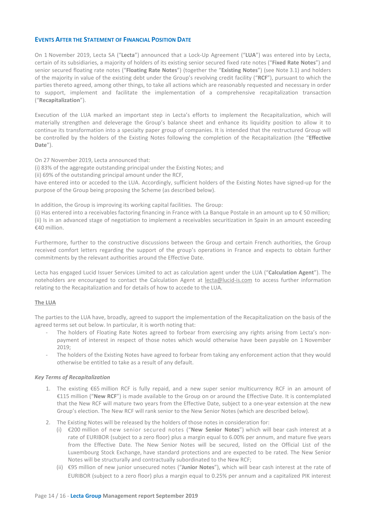# **EVENTS AFTER THE STATEMENT OF FINANCIAL POSITION DATE**

On 1 November 2019, Lecta SA ("**Lecta**") announced that a Lock-Up Agreement ("**LUA**") was entered into by Lecta, certain of its subsidiaries, a majority of holders of its existing senior secured fixed rate notes ("**Fixed Rate Notes**") and senior secured floating rate notes ("**Floating Rate Notes**") (together the "**Existing Notes**") (see Note 3.1) and holders of the majority in value of the existing debt under the Group's revolving credit facility ("**RCF**"), pursuant to which the parties thereto agreed, among other things, to take all actions which are reasonably requested and necessary in order to support, implement and facilitate the implementation of a comprehensive recapitalization transaction ("**Recapitalization**").

Execution of the LUA marked an important step in Lecta's efforts to implement the Recapitalization, which will materially strengthen and deleverage the Group's balance sheet and enhance its liquidity position to allow it to continue its transformation into a specialty paper group of companies. It is intended that the restructured Group will be controlled by the holders of the Existing Notes following the completion of the Recapitalization (the "**Effective Date**").

On 27 November 2019, Lecta announced that:

(i) 83% of the aggregate outstanding principal under the Existing Notes; and

(ii) 69% of the outstanding principal amount under the RCF,

have entered into or acceded to the LUA. Accordingly, sufficient holders of the Existing Notes have signed-up for the purpose of the Group being proposing the Scheme (as described below).

In addition, the Group is improving its working capital facilities. The Group:

(i) Has entered into a receivables factoring financing in France with La Banque Postale in an amount up to € 50 million; (ii) Is in an advanced stage of negotiation to implement a receivables securitization in Spain in an amount exceeding €40 million.

Furthermore, further to the constructive discussions between the Group and certain French authorities, the Group received comfort letters regarding the support of the group's operations in France and expects to obtain further commitments by the relevant authorities around the Effective Date.

Lecta has engaged Lucid Issuer Services Limited to act as calculation agent under the LUA ("**Calculation Agent**"). The noteholders are encouraged to contact the Calculation Agent at [lecta@lucid-is.com](mailto:lecta@lucid-is.com) to access further information relating to the Recapitalization and for details of how to accede to the LUA.

# **The LUA**

The parties to the LUA have, broadly, agreed to support the implementation of the Recapitalization on the basis of the agreed terms set out below. In particular, it is worth noting that:

- The holders of Floating Rate Notes agreed to forbear from exercising any rights arising from Lecta's nonpayment of interest in respect of those notes which would otherwise have been payable on 1 November 2019;
- The holders of the Existing Notes have agreed to forbear from taking any enforcement action that they would otherwise be entitled to take as a result of any default.

# *Key Terms of Recapitalization*

- 1. The existing €65 million RCF is fully repaid, and a new super senior multicurrency RCF in an amount of €115 million ("**New RCF**") is made available to the Group on or around the Effective Date. It is contemplated that the New RCF will mature two years from the Effective Date, subject to a one-year extension at the new Group's election. The New RCF will rank senior to the New Senior Notes (which are described below).
- 2. The Existing Notes will be released by the holders of those notes in consideration for:
	- (i) €200 million of new senior secured notes ("**New Senior Notes**") which will bear cash interest at a rate of EURIBOR (subject to a zero floor) plus a margin equal to 6.00% per annum, and mature five years from the Effective Date. The New Senior Notes will be secured, listed on the Official List of the Luxembourg Stock Exchange, have standard protections and are expected to be rated. The New Senior Notes will be structurally and contractually subordinated to the New RCF;
	- (ii) €95 million of new junior unsecured notes ("**Junior Notes**"), which will bear cash interest at the rate of EURIBOR (subject to a zero floor) plus a margin equal to 0.25% per annum and a capitalized PIK interest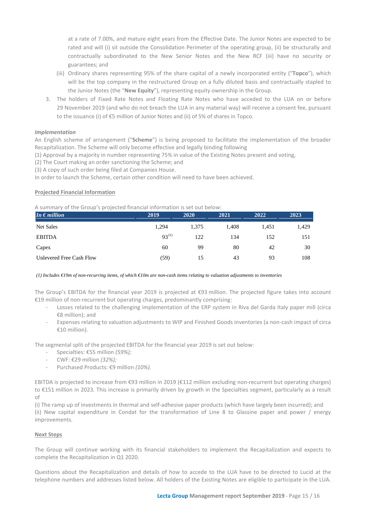at a rate of 7.00%, and mature eight years from the Effective Date. The Junior Notes are expected to be rated and will (i) sit outside the Consolidation Perimeter of the operating group, (ii) be structurally and contractually subordinated to the New Senior Notes and the New RCF (iii) have no security or guarantees; and

- (iii) Ordinary shares representing 95% of the share capital of a newly incorporated entity ("**Topco**"), which will be the top company in the restructured Group on a fully diluted basis and contractually stapled to the Junior Notes (the "**New Equity**"), representing equity ownership in the Group.
- 3. The holders of Fixed Rate Notes and Floating Rate Notes who have acceded to the LUA on or before 29 November 2019 (and who do not breach the LUA in any material way) will receive a consent fee, pursuant to the issuance (i) of €5 million of Junior Notes and (ii) of 5% of shares in Topco.

# *Implementation*

An English scheme of arrangement ("**Scheme**") is being proposed to facilitate the implementation of the broader Recapitalization. The Scheme will only become effective and legally binding following

(1) Approval by a majority in number representing 75% in value of the Existing Notes present and voting,

(2) The Court making an order sanctioning the Scheme; and

(3) A copy of such order being filed at Companies House.

In order to launch the Scheme, certain other condition will need to have been achieved.

# **Projected Financial Information**

A summary of the Group's projected financial information is set out below:

| In $\epsilon$ million    | 2019       | 2020  | 2021  | 2022  | 2023  |
|--------------------------|------------|-------|-------|-------|-------|
| Net Sales                | 1,294      | 1,375 | 1.408 | 1.451 | 1,429 |
| <b>EBITDA</b>            | $93^{(1)}$ | 122   | 134   | 152   | 151   |
| Capex                    | 60         | 99    | 80    | 42    | 30    |
| Unlevered Free Cash Flow | (59)       | 15    | 43    | 93    | 108   |

#### *(1) Includes €19m of non-recurring items, of which €10m are non-cash items relating to valuation adjustments to inventories*

The Group's EBITDA for the financial year 2019 is projected at €93 million. The projected figure takes into account €19 million of non-recurrent but operating charges, predominantly comprising:

- Losses related to the challenging implementation of the ERP system in Riva del Garda Italy paper mill (circa €8 million); and
- Expenses relating to valuation adjustments to WIP and Finished Goods inventories (a non-cash impact of circa €10 million).

The segmental split of the projected EBITDA for the financial year 2019 is set out below:

- Specialties: €55 million *(59%);*
- CWF: €29 million *(32%);*
- Purchased Products: €9 million *(10%).*

EBITDA is projected to increase from €93 million in 2019 (€112 million excluding non-recurrent but operating charges) to €151 million in 2023. This increase is primarily driven by growth in the Specialties segment, particularly as a result of

(i) The ramp up of investments in thermal and self-adhesive paper products (which have largely been incurred); and (ii) New capital expenditure in Condat for the transformation of Line 8 to Glassine paper and power / energy improvements.

# **Next Steps**

The Group will continue working with its financial stakeholders to implement the Recapitalization and expects to complete the Recapitalization in Q1 2020.

Questions about the Recapitalization and details of how to accede to the LUA have to be directed to Lucid at the telephone numbers and addresses listed below. All holders of the Existing Notes are eligible to participate in the LUA.